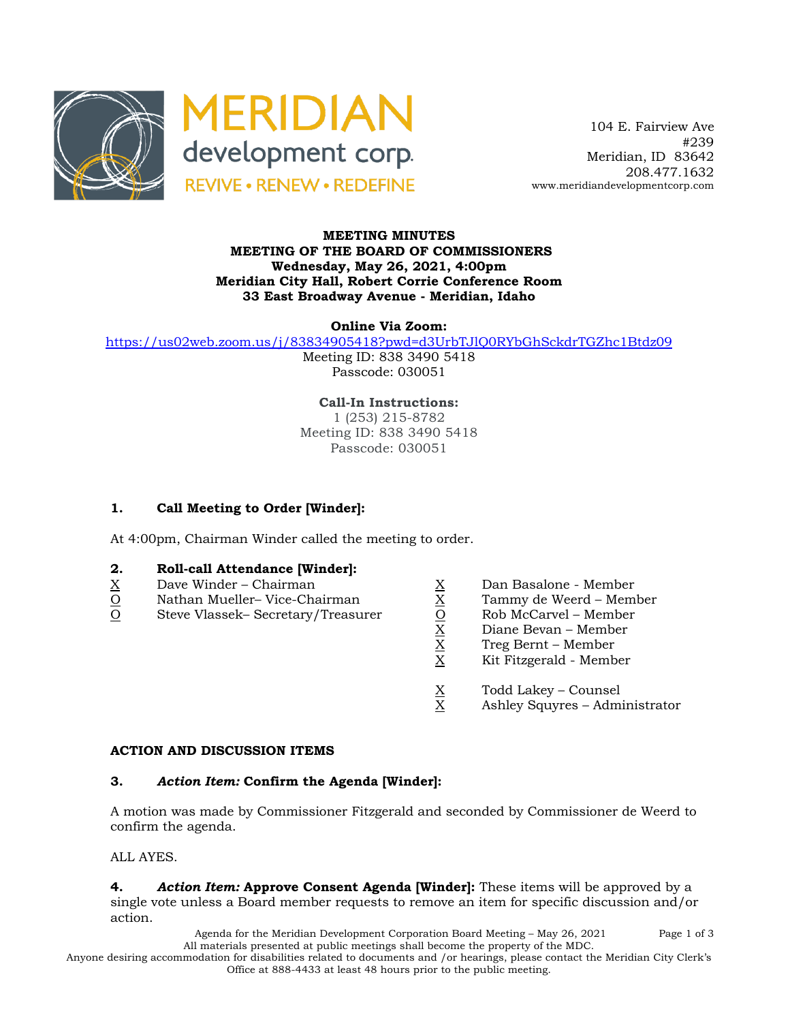



 104 E. Fairview Ave #239 Meridian, ID 83642 208.477.1632 www.meridiandevelopmentcorp.com

#### **MEETING MINUTES MEETING OF THE BOARD OF COMMISSIONERS Wednesday, May 26, 2021, 4:00pm Meridian City Hall, Robert Corrie Conference Room 33 East Broadway Avenue - Meridian, Idaho**

**Online Via Zoom:** 

https://us02web.zoom.us/j/83834905418?pwd=d3UrbTJlQ0RYbGhSckdrTGZhc1Btdz09

Meeting ID: 838 3490 5418 Passcode: 030051

**Call-In Instructions:** 1 (253) 215-8782 Meeting ID: 838 3490 5418 Passcode: 030051

# **1. Call Meeting to Order [Winder]:**

At 4:00pm, Chairman Winder called the meeting to order.

# **2. Roll-call Attendance [Winder]:**

- 
- 
- $\begin{array}{llllll} \underline{X} & \text{Dave Winder} \text{Chairman} & \underline{X} & \text{Dan Basalone Member} \\ \hline \underline{O} & \text{Steve Vlassek- Secretary/Treasure} & \underline{O} & \text{Rob McCarvel Member} \\ \end{array}$ <br>
Steve Vlassek– Secretary/Treasurer<br>  $\begin{array}{llll} \underline{X} & \text{Dan Basalone Member} \\ \hline \underline{X} & \text{Tommy de Weerd Member} \\ \end{array}$ <br>
Diane Bevan Member<br>  $\begin{array}{llll} \$ O Steve Vlassek– Secretary/Treasurer O Rob McCarvel – Member
	-
	- Nathan Mueller– Vice-Chairman X Tammy de Weerd Member
		-
		- Diane Bevan Member
		- X Treg Bernt Member
		- X Kit Fitzgerald Member
		- $X = \text{Total Lakey} \text{Counsel}$ <br>X Ashley Squyres Adm
		- Ashley Squyres Administrator

#### **ACTION AND DISCUSSION ITEMS**

## **3.** *Action Item:* **Confirm the Agenda [Winder]:**

A motion was made by Commissioner Fitzgerald and seconded by Commissioner de Weerd to confirm the agenda.

ALL AYES.

**4.** *Action Item:* **Approve Consent Agenda [Winder]:** These items will be approved by a single vote unless a Board member requests to remove an item for specific discussion and/or action.

> Agenda for the Meridian Development Corporation Board Meeting – May 26, 2021 Page 1 of 3 All materials presented at public meetings shall become the property of the MDC.

Anyone desiring accommodation for disabilities related to documents and /or hearings, please contact the Meridian City Clerk's Office at 888-4433 at least 48 hours prior to the public meeting.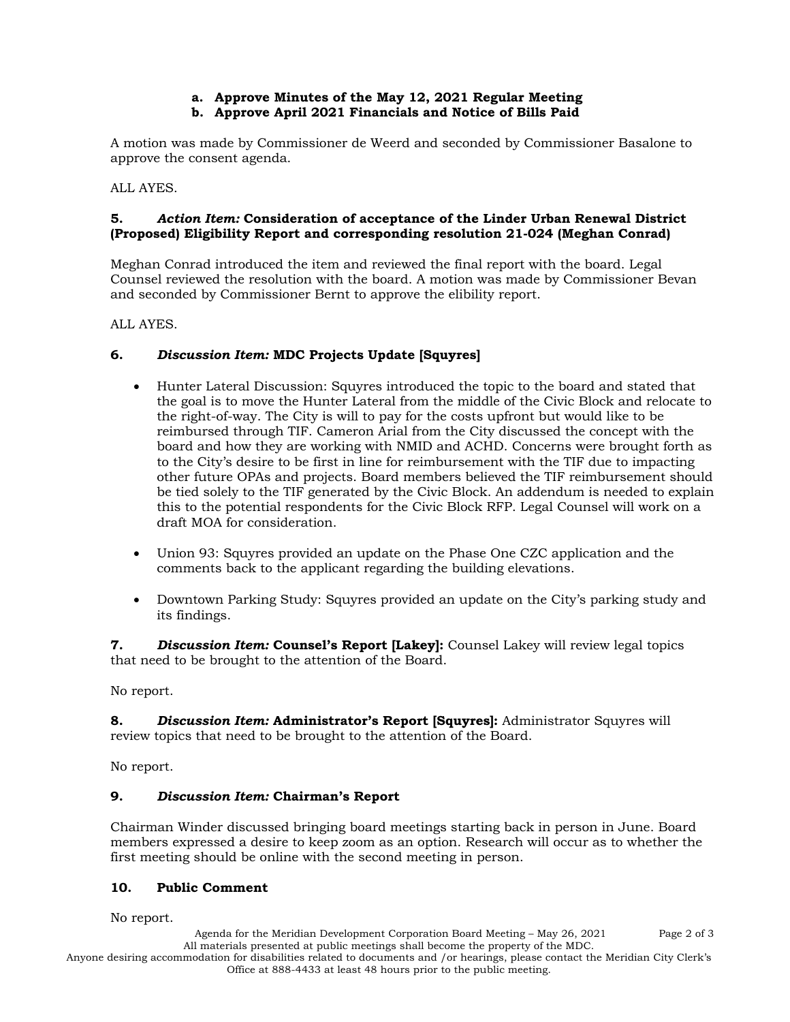#### **a. Approve Minutes of the May 12, 2021 Regular Meeting b. Approve April 2021 Financials and Notice of Bills Paid**

A motion was made by Commissioner de Weerd and seconded by Commissioner Basalone to approve the consent agenda.

ALL AYES.

## **5.** *Action Item:* **Consideration of acceptance of the Linder Urban Renewal District (Proposed) Eligibility Report and corresponding resolution 21-024 (Meghan Conrad)**

Meghan Conrad introduced the item and reviewed the final report with the board. Legal Counsel reviewed the resolution with the board. A motion was made by Commissioner Bevan and seconded by Commissioner Bernt to approve the elibility report.

ALL AYES.

# **6.** *Discussion Item:* **MDC Projects Update [Squyres]**

- Hunter Lateral Discussion: Squyres introduced the topic to the board and stated that the goal is to move the Hunter Lateral from the middle of the Civic Block and relocate to the right-of-way. The City is will to pay for the costs upfront but would like to be reimbursed through TIF. Cameron Arial from the City discussed the concept with the board and how they are working with NMID and ACHD. Concerns were brought forth as to the City's desire to be first in line for reimbursement with the TIF due to impacting other future OPAs and projects. Board members believed the TIF reimbursement should be tied solely to the TIF generated by the Civic Block. An addendum is needed to explain this to the potential respondents for the Civic Block RFP. Legal Counsel will work on a draft MOA for consideration.
- Union 93: Squyres provided an update on the Phase One CZC application and the comments back to the applicant regarding the building elevations.
- Downtown Parking Study: Squyres provided an update on the City's parking study and its findings.

**7.** *Discussion Item:* **Counsel's Report [Lakey]:** Counsel Lakey will review legal topics that need to be brought to the attention of the Board.

No report.

**8.** *Discussion Item:* **Administrator's Report [Squyres]:** Administrator Squyres will review topics that need to be brought to the attention of the Board.

No report.

## **9.** *Discussion Item:* **Chairman's Report**

Chairman Winder discussed bringing board meetings starting back in person in June. Board members expressed a desire to keep zoom as an option. Research will occur as to whether the first meeting should be online with the second meeting in person.

## **10. Public Comment**

No report.

Agenda for the Meridian Development Corporation Board Meeting – May 26, 2021 Page 2 of 3 All materials presented at public meetings shall become the property of the MDC.

Anyone desiring accommodation for disabilities related to documents and /or hearings, please contact the Meridian City Clerk's Office at 888-4433 at least 48 hours prior to the public meeting.